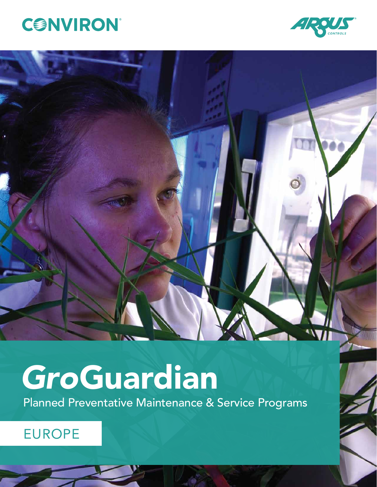



# *Gro*Guardian

Planned Preventative Maintenance & Service Programs

## EUROPE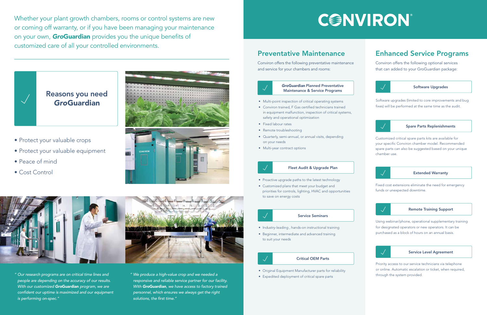Whether your plant growth chambers, rooms or control systems are new or coming off warranty, or if you have been managing your maintenance on your own, *Gro*Guardian provides you the unique benefits of customized care of all your controlled environments.



- *" Our research programs are on critical time lines and people are depending on the accuracy of our results. With our customized Gro*Guardian *program, we are*  confident our uptime is maximized and our equipment *is performing on-spec."*
- *" We produce a high-value crop and we needed a responsive and reliable service partner for our facility. With Gro*Guardian*, we have access to factory trained personnel, which ensures we always get the right*  solutions, the first time."

## CONVIRON

- Protect your valuable crops
- Protect your valuable equipment
- Peace of mind
- Cost Control



## Reasons you need *Gro*Guardian



- Multi-point inspection of critical operating systems
- Conviron trained, F Gas certified technicians trained in equipment malfunction, inspection of critical systems, safety and operational optimization
- Fixed labour rates
- Remote troubleshooting
- Quarterly, semi-annual, or annual visits, depending on your needs
- Multi-year contract options



#### Fleet Audit & Upgrade Plan

- Proactive upgrade paths to the latest technology
- Customized plans that meet your budget and priorities for controls, lighting, HVAC and opportunities to save on energy costs

### Service Seminars

- Industry-leading , hands-on instructional training
- Beginner, intermediate and advanced training to suit your needs





Software upgrades (limited to core improvements and bug fixes) will be performed at the same time as the audit.



### Service Level Agreement

Priority access to our service technicians via telephone or online. Automatic escalation or ticket, when required, through the system provided.

### Remote Training Support

Using webinar/phone, operational supplementary training for designated operators or new operators. It can be purchased as a block of hours on an annual basis.



### Extended Warranty

Fixed cost extensions eliminate the need for emergency funds or unexpected downtime.



### Spare Parts Replenishments

Customized critical spare parts kits are available for your specific Conviron chamber model. Recommended spare parts can also be suggested based on your unique chamber use.



### Preventative Maintenance

Conviron offers the following preventative maintenance and service for your chambers and rooms:

## Enhanced Service Programs

Conviron offers the following optional services that can added to your GroGuardian package:

#### Critical OEM Parts

- Original Equipment Manufacturer parts for reliability
- Expedited deployment of critical spare parts